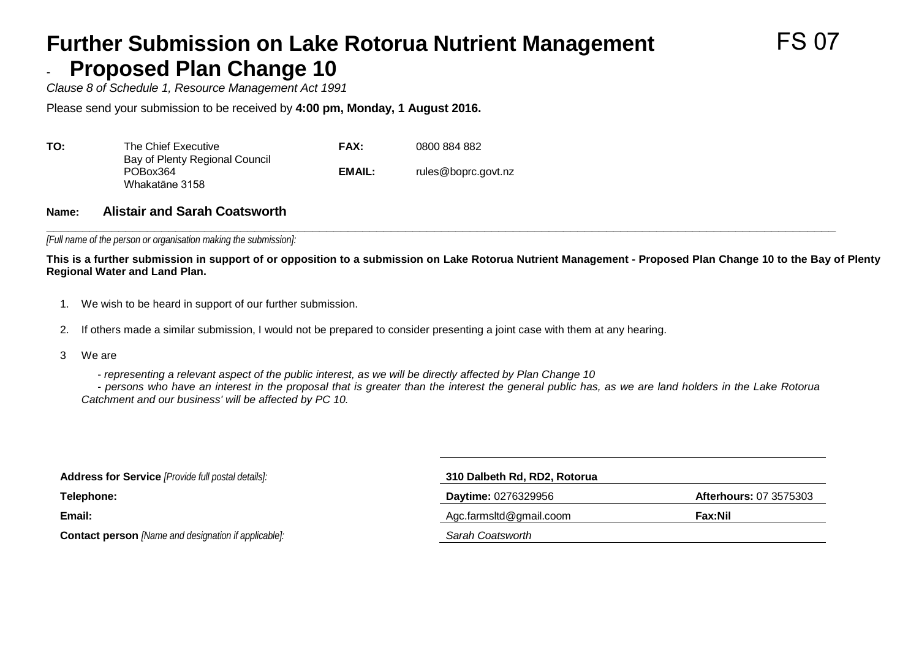### **Further Submission on Lake Rotorua Nutrient Management Proposed Plan Change 10**

*Clause 8 of Schedule 1, Resource Management Act 1991*

Please send your submission to be received by **4:00 pm, Monday, 1 August 2016.**

| ΤΟ: | The Chief Executive                                          | <b>FAX:</b> | 0800 884 882        |
|-----|--------------------------------------------------------------|-------------|---------------------|
|     | Bay of Plenty Regional Council<br>POBox364<br>Whakatāne 3158 | EMAIL:      | rules@boprc.govt.nz |

#### **Name: Alistair and Sarah Coatsworth**

**\_\_\_\_\_\_\_\_\_\_\_\_\_\_\_\_\_\_\_\_\_\_\_\_\_\_\_\_\_\_\_\_\_\_\_\_\_\_\_\_\_\_\_\_\_\_\_\_\_\_\_\_\_\_\_\_\_\_\_\_\_\_\_\_\_\_\_\_\_\_\_\_\_\_\_\_\_\_\_\_\_\_\_\_\_\_\_\_\_\_\_\_\_\_\_\_\_\_\_\_\_\_\_\_\_\_\_\_\_\_** *[Full name of the person or organisation making the submission]:*

**This is a further submission in support of or opposition to a submission on Lake Rotorua Nutrient Management - Proposed Plan Change 10 to the Bay of Plenty Regional Water and Land Plan.**

- 1. We wish to be heard in support of our further submission.
- 2. If others made a similar submission, I would not be prepared to consider presenting a joint case with them at any hearing.
- 3 We are

- *representing a relevant aspect of the public interest, as we will be directly affected by Plan Change 10*

- *persons who have an interest in the proposal that is greater than the interest the general public has, as we are land holders in the Lake Rotorua Catchment and our business' will be affected by PC 10.*

| <b>Address for Service</b> [Provide full postal details]:   | 310 Dalbeth Rd, RD2, Rotorua |                               |  |  |  |
|-------------------------------------------------------------|------------------------------|-------------------------------|--|--|--|
| Telephone:                                                  | <b>Daytime: 0276329956</b>   | <b>Afterhours: 07 3575303</b> |  |  |  |
| Email:                                                      | Agc.farmsltd@gmail.coom      | Fax:Nil                       |  |  |  |
| <b>Contact person</b> [Name and designation if applicable]: | Sarah Coatsworth             |                               |  |  |  |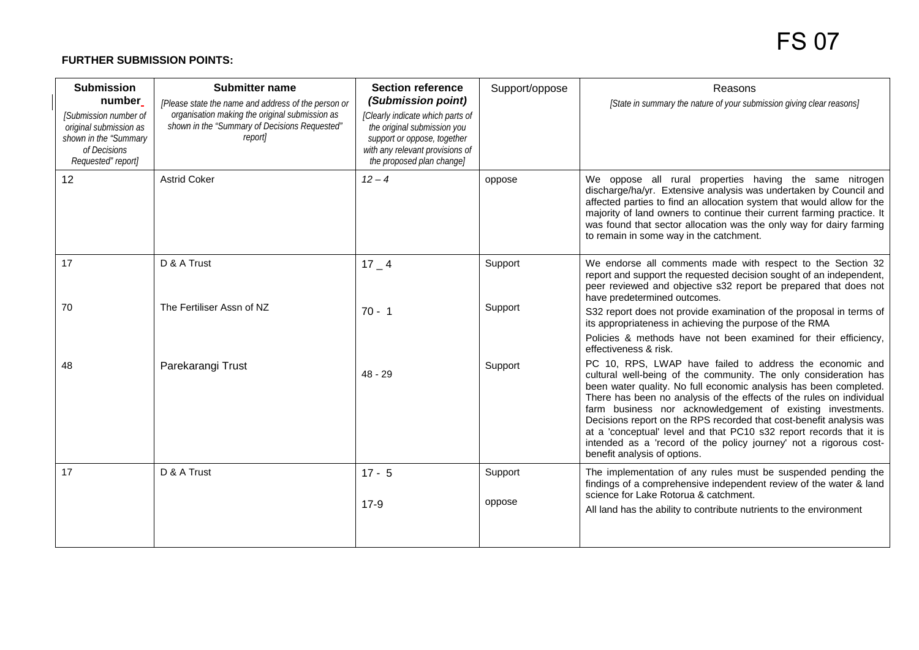#### **FURTHER SUBMISSION POINTS:**

| <b>Submission</b><br>number<br>[Submission number of<br>original submission as<br>shown in the "Summary<br>of Decisions<br>Requested" report] | <b>Submitter name</b><br>[Please state the name and address of the person or<br>organisation making the original submission as<br>shown in the "Summary of Decisions Requested"<br>report] | <b>Section reference</b><br>(Submission point)<br>[Clearly indicate which parts of<br>the original submission you<br>support or oppose, together<br>with any relevant provisions of<br>the proposed plan change] | Support/oppose    | Reasons<br>[State in summary the nature of your submission giving clear reasons]                                                                                                                                                                                                                                                                                                                                                                                                                                                                                                           |
|-----------------------------------------------------------------------------------------------------------------------------------------------|--------------------------------------------------------------------------------------------------------------------------------------------------------------------------------------------|------------------------------------------------------------------------------------------------------------------------------------------------------------------------------------------------------------------|-------------------|--------------------------------------------------------------------------------------------------------------------------------------------------------------------------------------------------------------------------------------------------------------------------------------------------------------------------------------------------------------------------------------------------------------------------------------------------------------------------------------------------------------------------------------------------------------------------------------------|
| 12                                                                                                                                            | <b>Astrid Coker</b>                                                                                                                                                                        | $12 - 4$                                                                                                                                                                                                         | oppose            | We oppose all rural properties having the same nitrogen<br>discharge/ha/yr. Extensive analysis was undertaken by Council and<br>affected parties to find an allocation system that would allow for the<br>majority of land owners to continue their current farming practice. It<br>was found that sector allocation was the only way for dairy farming<br>to remain in some way in the catchment.                                                                                                                                                                                         |
| 17                                                                                                                                            | D & A Trust                                                                                                                                                                                | $17 - 4$                                                                                                                                                                                                         | Support           | We endorse all comments made with respect to the Section 32<br>report and support the requested decision sought of an independent,<br>peer reviewed and objective s32 report be prepared that does not<br>have predetermined outcomes.                                                                                                                                                                                                                                                                                                                                                     |
| 70                                                                                                                                            | The Fertiliser Assn of NZ                                                                                                                                                                  | $70 - 1$                                                                                                                                                                                                         | Support           | S32 report does not provide examination of the proposal in terms of<br>its appropriateness in achieving the purpose of the RMA<br>Policies & methods have not been examined for their efficiency,<br>effectiveness & risk.                                                                                                                                                                                                                                                                                                                                                                 |
| 48                                                                                                                                            | Parekarangi Trust                                                                                                                                                                          | $48 - 29$                                                                                                                                                                                                        | Support           | PC 10, RPS, LWAP have failed to address the economic and<br>cultural well-being of the community. The only consideration has<br>been water quality. No full economic analysis has been completed.<br>There has been no analysis of the effects of the rules on individual<br>farm business nor acknowledgement of existing investments.<br>Decisions report on the RPS recorded that cost-benefit analysis was<br>at a 'conceptual' level and that PC10 s32 report records that it is<br>intended as a 'record of the policy journey' not a rigorous cost-<br>benefit analysis of options. |
| 17                                                                                                                                            | D & A Trust                                                                                                                                                                                | $17 - 5$<br>$17-9$                                                                                                                                                                                               | Support<br>oppose | The implementation of any rules must be suspended pending the<br>findings of a comprehensive independent review of the water & land<br>science for Lake Rotorua & catchment.<br>All land has the ability to contribute nutrients to the environment                                                                                                                                                                                                                                                                                                                                        |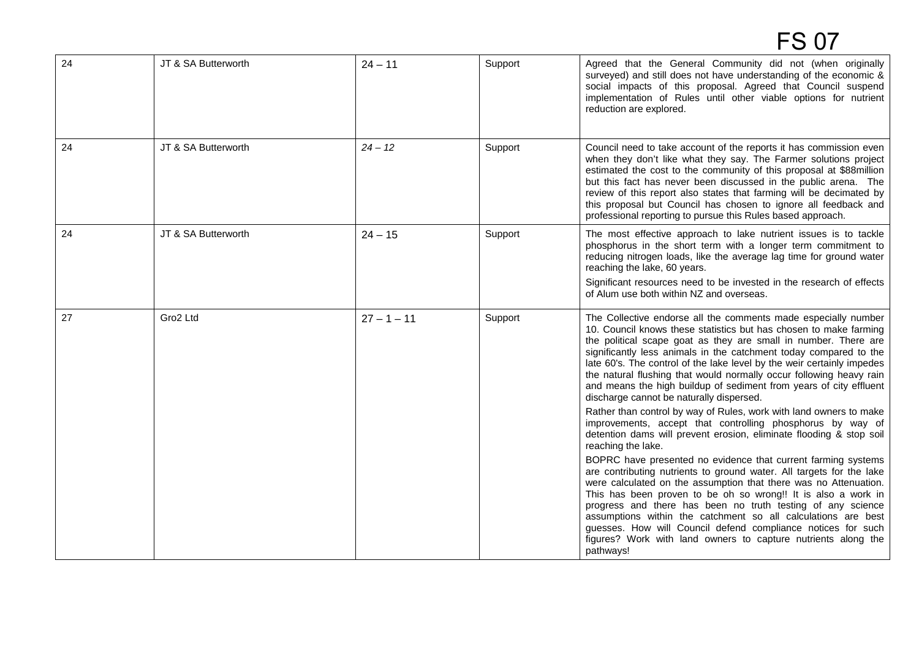| 24 | JT & SA Butterworth | $24 - 11$     | Support | Agreed that the General Community did not (when originally<br>surveyed) and still does not have understanding of the economic &<br>social impacts of this proposal. Agreed that Council suspend<br>implementation of Rules until other viable options for nutrient<br>reduction are explored.                                                                                                                                                                                                                                                                                                                                                                                      |
|----|---------------------|---------------|---------|------------------------------------------------------------------------------------------------------------------------------------------------------------------------------------------------------------------------------------------------------------------------------------------------------------------------------------------------------------------------------------------------------------------------------------------------------------------------------------------------------------------------------------------------------------------------------------------------------------------------------------------------------------------------------------|
| 24 | JT & SA Butterworth | $24 - 12$     | Support | Council need to take account of the reports it has commission even<br>when they don't like what they say. The Farmer solutions project<br>estimated the cost to the community of this proposal at \$88million<br>but this fact has never been discussed in the public arena. The<br>review of this report also states that farming will be decimated by<br>this proposal but Council has chosen to ignore all feedback and<br>professional reporting to pursue this Rules based approach.                                                                                                                                                                                          |
| 24 | JT & SA Butterworth | $24 - 15$     | Support | The most effective approach to lake nutrient issues is to tackle<br>phosphorus in the short term with a longer term commitment to<br>reducing nitrogen loads, like the average lag time for ground water<br>reaching the lake, 60 years.<br>Significant resources need to be invested in the research of effects<br>of Alum use both within NZ and overseas.                                                                                                                                                                                                                                                                                                                       |
| 27 | Gro2 Ltd            | $27 - 1 - 11$ | Support | The Collective endorse all the comments made especially number<br>10. Council knows these statistics but has chosen to make farming<br>the political scape goat as they are small in number. There are<br>significantly less animals in the catchment today compared to the<br>late 60's. The control of the lake level by the weir certainly impedes<br>the natural flushing that would normally occur following heavy rain<br>and means the high buildup of sediment from years of city effluent<br>discharge cannot be naturally dispersed.<br>Rather than control by way of Rules, work with land owners to make<br>improvements, accept that controlling phosphorus by way of |
|    |                     |               |         | detention dams will prevent erosion, eliminate flooding & stop soil<br>reaching the lake.<br>BOPRC have presented no evidence that current farming systems<br>are contributing nutrients to ground water. All targets for the lake<br>were calculated on the assumption that there was no Attenuation.<br>This has been proven to be oh so wrong!! It is also a work in<br>progress and there has been no truth testing of any science<br>assumptions within the catchment so all calculations are best<br>guesses. How will Council defend compliance notices for such<br>figures? Work with land owners to capture nutrients along the<br>pathways!                              |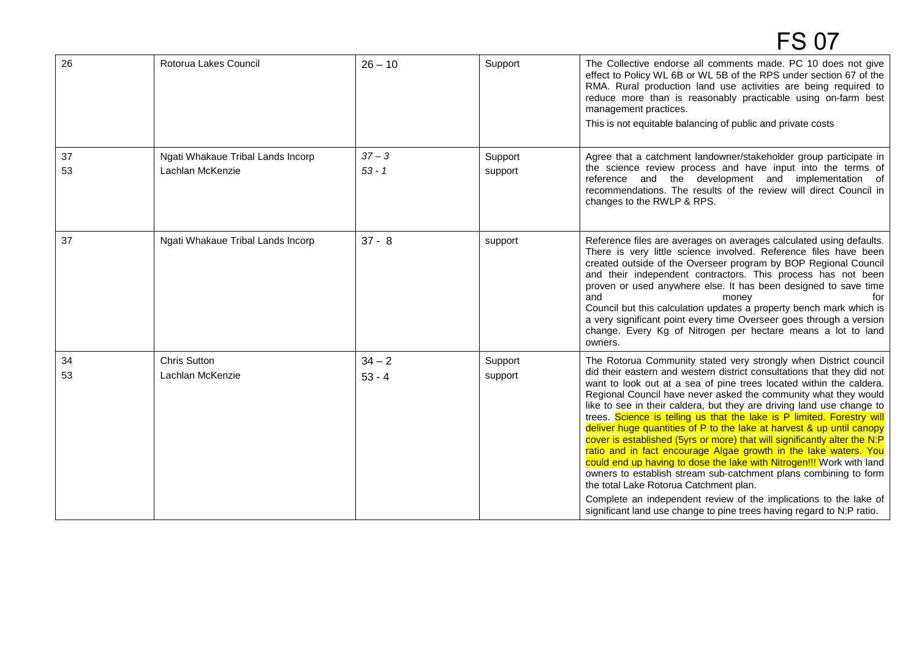| 26       | Rotorua Lakes Council                                 | $26 - 10$            | Support            | The Collective endorse all comments made. PC 10 does not give<br>effect to Policy WL 6B or WL 5B of the RPS under section 67 of the<br>RMA. Rural production land use activities are being required to<br>reduce more than is reasonably practicable using on-farm best<br>management practices.<br>This is not equitable balancing of public and private costs                                                                                                                                                                                                                                                                                                                                                                                                                                                                                                                                                                                                                                       |
|----------|-------------------------------------------------------|----------------------|--------------------|-------------------------------------------------------------------------------------------------------------------------------------------------------------------------------------------------------------------------------------------------------------------------------------------------------------------------------------------------------------------------------------------------------------------------------------------------------------------------------------------------------------------------------------------------------------------------------------------------------------------------------------------------------------------------------------------------------------------------------------------------------------------------------------------------------------------------------------------------------------------------------------------------------------------------------------------------------------------------------------------------------|
| 37<br>53 | Ngati Whakaue Tribal Lands Incorp<br>Lachlan McKenzie | $37 - 3$<br>$53 - 1$ | Support<br>support | Agree that a catchment landowner/stakeholder group participate in<br>the science review process and have input into the terms of<br>reference and the development and implementation of<br>recommendations. The results of the review will direct Council in<br>changes to the RWLP & RPS.                                                                                                                                                                                                                                                                                                                                                                                                                                                                                                                                                                                                                                                                                                            |
| 37       | Ngati Whakaue Tribal Lands Incorp                     | $37 - 8$             | support            | Reference files are averages on averages calculated using defaults.<br>There is very little science involved. Reference files have been<br>created outside of the Overseer program by BOP Regional Council<br>and their independent contractors. This process has not been<br>proven or used anywhere else. It has been designed to save time<br>and<br>money<br>Council but this calculation updates a property bench mark which is<br>a very significant point every time Overseer goes through a version<br>change. Every Kg of Nitrogen per hectare means a lot to land<br>owners.                                                                                                                                                                                                                                                                                                                                                                                                                |
| 34<br>53 | <b>Chris Sutton</b><br>Lachlan McKenzie               | $34 - 2$<br>$53 - 4$ | Support<br>support | The Rotorua Community stated very strongly when District council<br>did their eastern and western district consultations that they did not<br>want to look out at a sea of pine trees located within the caldera.<br>Regional Council have never asked the community what they would<br>like to see in their caldera, but they are driving land use change to<br>trees. Science is telling us that the lake is P limited. Forestry will<br>deliver huge quantities of P to the lake at harvest & up until canopy<br>cover is established (5yrs or more) that will significantly alter the N:P<br>ratio and in fact encourage Algae growth in the lake waters. You<br>could end up having to dose the lake with Nitrogen!!! Work with land<br>owners to establish stream sub-catchment plans combining to form<br>the total Lake Rotorua Catchment plan.<br>Complete an independent review of the implications to the lake of<br>significant land use change to pine trees having regard to N:P ratio. |